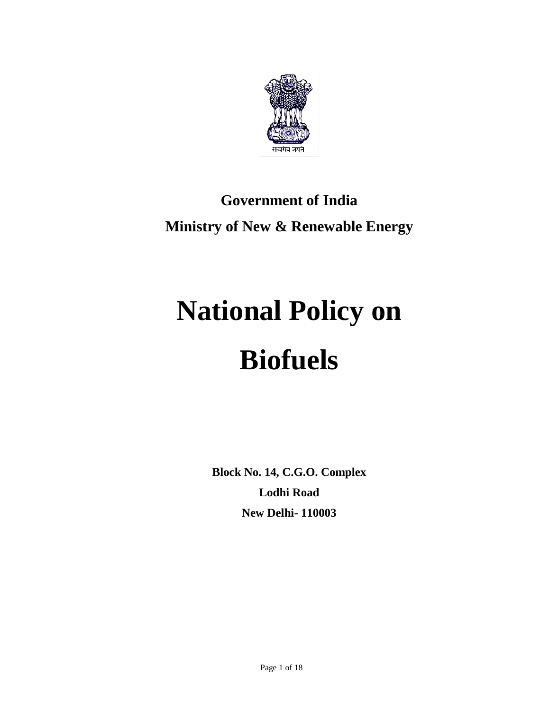

# **Government of India Ministry of New & Renewable Energy**

# **National Policy on Biofuels**

**Block No. 14, C.G.O. Complex Lodhi Road New Delhi- 110003**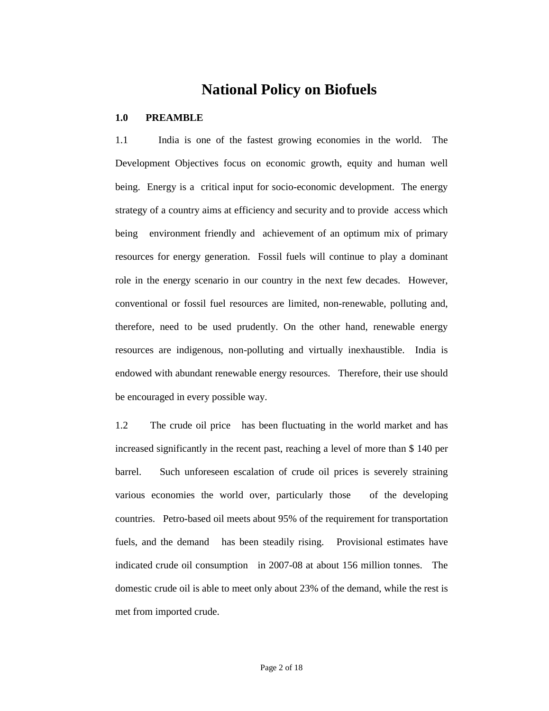# **National Policy on Biofuels**

# **1.0 PREAMBLE**

1.1 India is one of the fastest growing economies in the world. The Development Objectives focus on economic growth, equity and human well being. Energy is a critical input for socio-economic development. The energy strategy of a country aims at efficiency and security and to provide access which being environment friendly and achievement of an optimum mix of primary resources for energy generation. Fossil fuels will continue to play a dominant role in the energy scenario in our country in the next few decades. However, conventional or fossil fuel resources are limited, non-renewable, polluting and, therefore, need to be used prudently. On the other hand, renewable energy resources are indigenous, non-polluting and virtually inexhaustible. India is endowed with abundant renewable energy resources. Therefore, their use should be encouraged in every possible way.

1.2 The crude oil price has been fluctuating in the world market and has increased significantly in the recent past, reaching a level of more than \$ 140 per barrel. Such unforeseen escalation of crude oil prices is severely straining various economies the world over, particularly those of the developing countries. Petro-based oil meets about 95% of the requirement for transportation fuels, and the demand has been steadily rising. Provisional estimates have indicated crude oil consumption in 2007-08 at about 156 million tonnes. The domestic crude oil is able to meet only about 23% of the demand, while the rest is met from imported crude.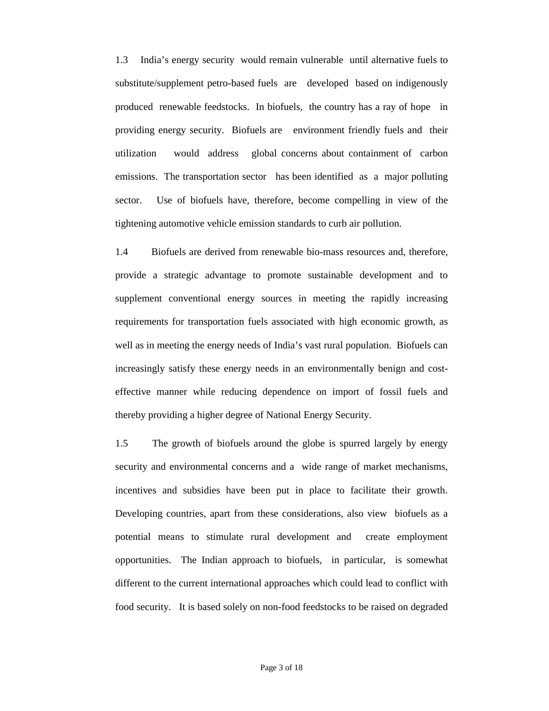1.3 India's energy security would remain vulnerable until alternative fuels to substitute/supplement petro-based fuels are developed based on indigenously produced renewable feedstocks. In biofuels, the country has a ray of hope in providing energy security. Biofuels are environment friendly fuels and their utilization would address global concerns about containment of carbon emissions. The transportation sector has been identified as a major polluting sector. Use of biofuels have, therefore, become compelling in view of the tightening automotive vehicle emission standards to curb air pollution.

1.4 Biofuels are derived from renewable bio-mass resources and, therefore, provide a strategic advantage to promote sustainable development and to supplement conventional energy sources in meeting the rapidly increasing requirements for transportation fuels associated with high economic growth, as well as in meeting the energy needs of India's vast rural population. Biofuels can increasingly satisfy these energy needs in an environmentally benign and costeffective manner while reducing dependence on import of fossil fuels and thereby providing a higher degree of National Energy Security.

1.5 The growth of biofuels around the globe is spurred largely by energy security and environmental concerns and a wide range of market mechanisms, incentives and subsidies have been put in place to facilitate their growth. Developing countries, apart from these considerations, also view biofuels as a potential means to stimulate rural development and create employment opportunities. The Indian approach to biofuels, in particular, is somewhat different to the current international approaches which could lead to conflict with food security. It is based solely on non-food feedstocks to be raised on degraded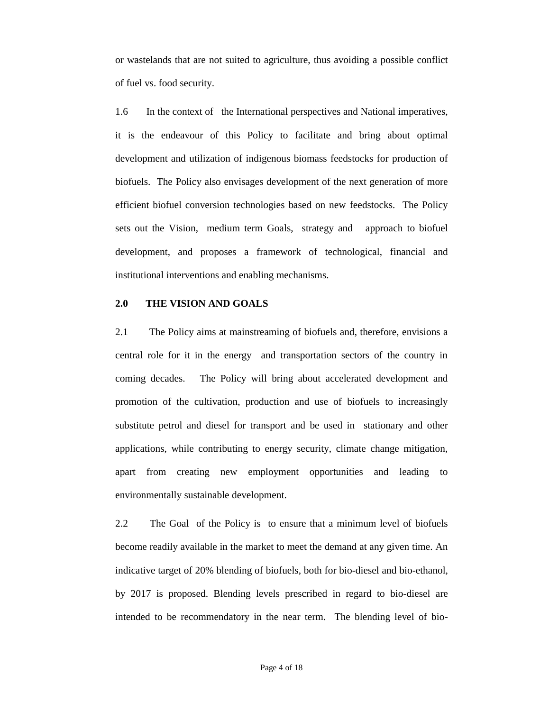or wastelands that are not suited to agriculture, thus avoiding a possible conflict of fuel vs. food security.

1.6 In the context of the International perspectives and National imperatives, it is the endeavour of this Policy to facilitate and bring about optimal development and utilization of indigenous biomass feedstocks for production of biofuels. The Policy also envisages development of the next generation of more efficient biofuel conversion technologies based on new feedstocks. The Policy sets out the Vision, medium term Goals, strategy and approach to biofuel development, and proposes a framework of technological, financial and institutional interventions and enabling mechanisms.

# **2.0 THE VISION AND GOALS**

2.1 The Policy aims at mainstreaming of biofuels and, therefore, envisions a central role for it in the energy and transportation sectors of the country in coming decades. The Policy will bring about accelerated development and promotion of the cultivation, production and use of biofuels to increasingly substitute petrol and diesel for transport and be used in stationary and other applications, while contributing to energy security, climate change mitigation, apart from creating new employment opportunities and leading to environmentally sustainable development.

2.2 The Goal of the Policy is to ensure that a minimum level of biofuels become readily available in the market to meet the demand at any given time. An indicative target of 20% blending of biofuels, both for bio-diesel and bio-ethanol, by 2017 is proposed. Blending levels prescribed in regard to bio-diesel are intended to be recommendatory in the near term. The blending level of bio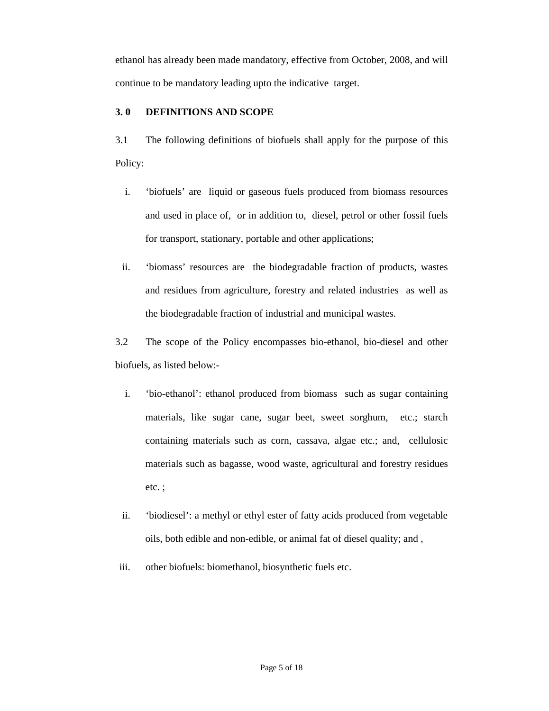ethanol has already been made mandatory, effective from October, 2008, and will continue to be mandatory leading upto the indicative target.

# **3. 0 DEFINITIONS AND SCOPE**

3.1 The following definitions of biofuels shall apply for the purpose of this Policy:

- i. 'biofuels' are liquid or gaseous fuels produced from biomass resources and used in place of, or in addition to, diesel, petrol or other fossil fuels for transport, stationary, portable and other applications;
- ii. 'biomass' resources are the biodegradable fraction of products, wastes and residues from agriculture, forestry and related industries as well as the biodegradable fraction of industrial and municipal wastes.

3.2 The scope of the Policy encompasses bio-ethanol, bio-diesel and other biofuels, as listed below:-

- i. 'bio-ethanol': ethanol produced from biomass such as sugar containing materials, like sugar cane, sugar beet, sweet sorghum, etc.; starch containing materials such as corn, cassava, algae etc.; and, cellulosic materials such as bagasse, wood waste, agricultural and forestry residues etc. ;
- ii. 'biodiesel': a methyl or ethyl ester of fatty acids produced from vegetable oils, both edible and non-edible, or animal fat of diesel quality; and ,
- iii. other biofuels: biomethanol, biosynthetic fuels etc.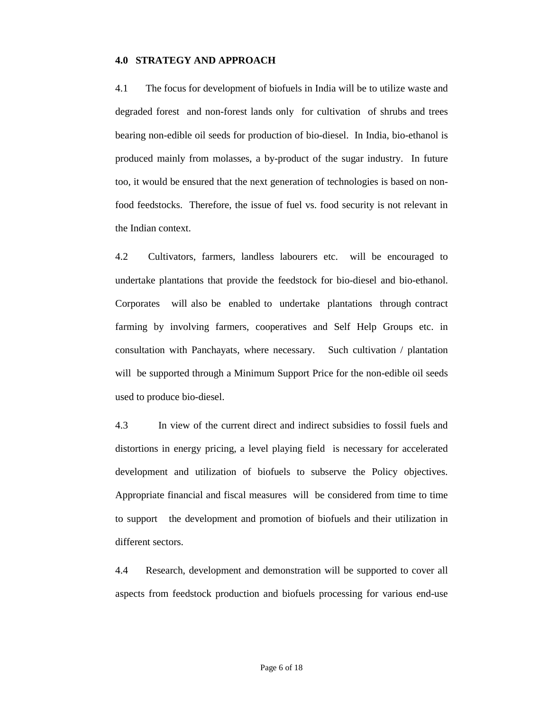# **4.0 STRATEGY AND APPROACH**

4.1 The focus for development of biofuels in India will be to utilize waste and degraded forest and non-forest lands only for cultivation of shrubs and trees bearing non-edible oil seeds for production of bio-diesel. In India, bio-ethanol is produced mainly from molasses, a by-product of the sugar industry. In future too, it would be ensured that the next generation of technologies is based on nonfood feedstocks. Therefore, the issue of fuel vs. food security is not relevant in the Indian context.

4.2 Cultivators, farmers, landless labourers etc. will be encouraged to undertake plantations that provide the feedstock for bio-diesel and bio-ethanol. Corporates will also be enabled to undertake plantations through contract farming by involving farmers, cooperatives and Self Help Groups etc. in consultation with Panchayats, where necessary. Such cultivation / plantation will be supported through a Minimum Support Price for the non-edible oil seeds used to produce bio-diesel.

4.3 In view of the current direct and indirect subsidies to fossil fuels and distortions in energy pricing, a level playing field is necessary for accelerated development and utilization of biofuels to subserve the Policy objectives. Appropriate financial and fiscal measures will be considered from time to time to support the development and promotion of biofuels and their utilization in different sectors.

4.4 Research, development and demonstration will be supported to cover all aspects from feedstock production and biofuels processing for various end-use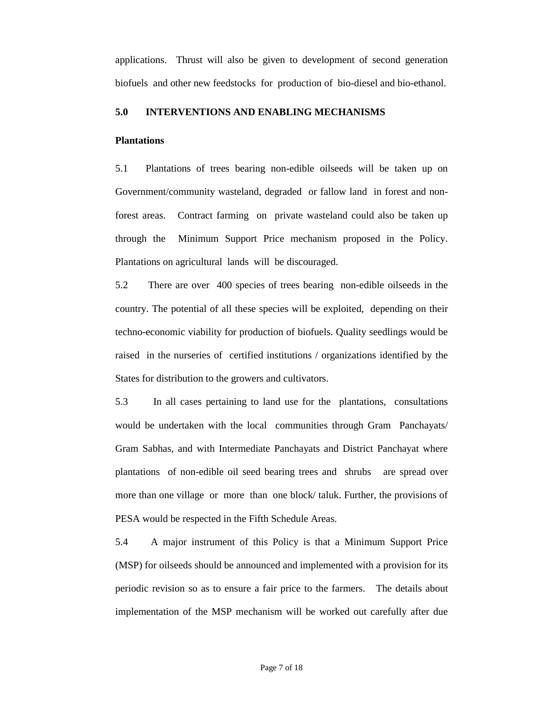applications. Thrust will also be given to development of second generation biofuels and other new feedstocks for production of bio-diesel and bio-ethanol.

# **5.0 INTERVENTIONS AND ENABLING MECHANISMS**

#### **Plantations**

5.1 Plantations of trees bearing non-edible oilseeds will be taken up on Government/community wasteland, degraded or fallow land in forest and nonforest areas. Contract farming on private wasteland could also be taken up through the Minimum Support Price mechanism proposed in the Policy. Plantations on agricultural lands will be discouraged.

5.2 There are over 400 species of trees bearing non-edible oilseeds in the country. The potential of all these species will be exploited, depending on their techno-economic viability for production of biofuels. Quality seedlings would be raised in the nurseries of certified institutions / organizations identified by the States for distribution to the growers and cultivators.

5.3 In all cases pertaining to land use for the plantations, consultations would be undertaken with the local communities through Gram Panchayats/ Gram Sabhas, and with Intermediate Panchayats and District Panchayat where plantations of non-edible oil seed bearing trees and shrubs are spread over more than one village or more than one block/ taluk. Further, the provisions of PESA would be respected in the Fifth Schedule Areas.

5.4 A major instrument of this Policy is that a Minimum Support Price (MSP) for oilseeds should be announced and implemented with a provision for its periodic revision so as to ensure a fair price to the farmers. The details about implementation of the MSP mechanism will be worked out carefully after due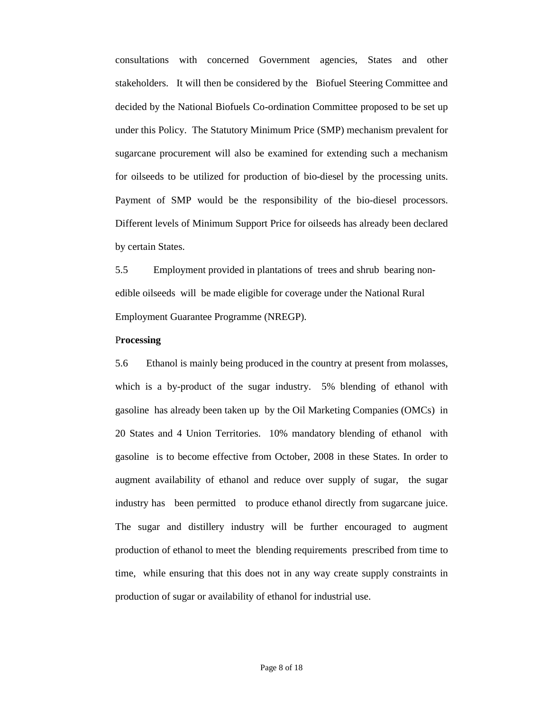consultations with concerned Government agencies, States and other stakeholders. It will then be considered by the Biofuel Steering Committee and decided by the National Biofuels Co-ordination Committee proposed to be set up under this Policy. The Statutory Minimum Price (SMP) mechanism prevalent for sugarcane procurement will also be examined for extending such a mechanism for oilseeds to be utilized for production of bio-diesel by the processing units. Payment of SMP would be the responsibility of the bio-diesel processors. Different levels of Minimum Support Price for oilseeds has already been declared by certain States.

5.5 Employment provided in plantations of trees and shrub bearing nonedible oilseeds will be made eligible for coverage under the National Rural Employment Guarantee Programme (NREGP).

#### P**rocessing**

5.6 Ethanol is mainly being produced in the country at present from molasses, which is a by-product of the sugar industry. 5% blending of ethanol with gasoline has already been taken up by the Oil Marketing Companies (OMCs) in 20 States and 4 Union Territories. 10% mandatory blending of ethanol with gasoline is to become effective from October, 2008 in these States. In order to augment availability of ethanol and reduce over supply of sugar, the sugar industry has been permitted to produce ethanol directly from sugarcane juice. The sugar and distillery industry will be further encouraged to augment production of ethanol to meet the blending requirements prescribed from time to time, while ensuring that this does not in any way create supply constraints in production of sugar or availability of ethanol for industrial use.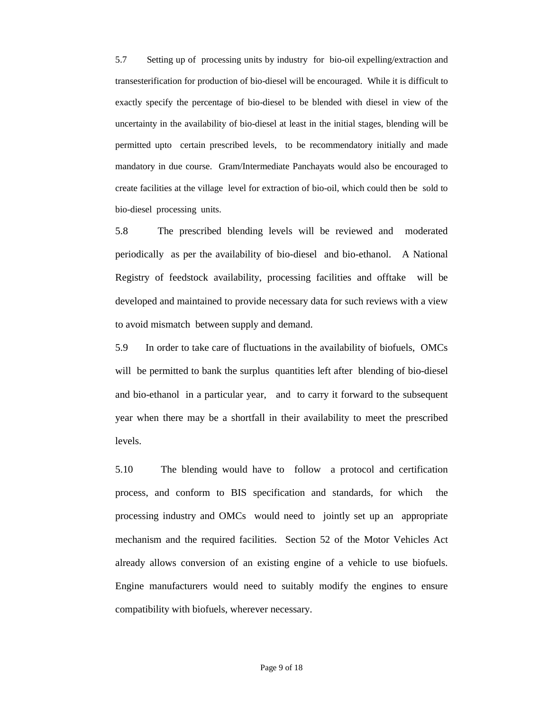5.7 Setting up of processing units by industry for bio-oil expelling/extraction and transesterification for production of bio-diesel will be encouraged. While it is difficult to exactly specify the percentage of bio-diesel to be blended with diesel in view of the uncertainty in the availability of bio-diesel at least in the initial stages, blending will be permitted upto certain prescribed levels, to be recommendatory initially and made mandatory in due course. Gram/Intermediate Panchayats would also be encouraged to create facilities at the village level for extraction of bio-oil, which could then be sold to bio-diesel processing units.

5.8 The prescribed blending levels will be reviewed and moderated periodically as per the availability of bio-diesel and bio-ethanol. A National Registry of feedstock availability, processing facilities and offtake will be developed and maintained to provide necessary data for such reviews with a view to avoid mismatch between supply and demand.

5.9 In order to take care of fluctuations in the availability of biofuels, OMCs will be permitted to bank the surplus quantities left after blending of bio-diesel and bio-ethanol in a particular year, and to carry it forward to the subsequent year when there may be a shortfall in their availability to meet the prescribed levels.

5.10 The blending would have to follow a protocol and certification process, and conform to BIS specification and standards, for which the processing industry and OMCs would need to jointly set up an appropriate mechanism and the required facilities. Section 52 of the Motor Vehicles Act already allows conversion of an existing engine of a vehicle to use biofuels. Engine manufacturers would need to suitably modify the engines to ensure compatibility with biofuels, wherever necessary.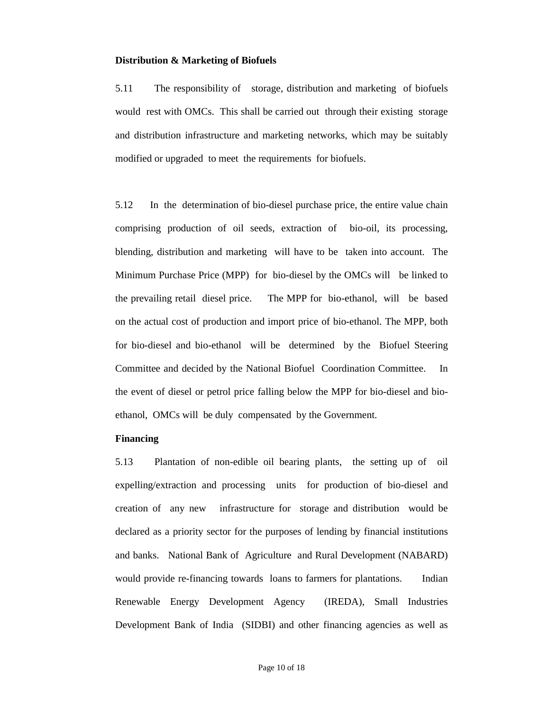#### **Distribution & Marketing of Biofuels**

5.11 The responsibility of storage, distribution and marketing of biofuels would rest with OMCs. This shall be carried out through their existing storage and distribution infrastructure and marketing networks, which may be suitably modified or upgraded to meet the requirements for biofuels.

5.12 In the determination of bio-diesel purchase price, the entire value chain comprising production of oil seeds, extraction of bio-oil, its processing, blending, distribution and marketing will have to be taken into account. The Minimum Purchase Price (MPP) for bio-diesel by the OMCs will be linked to the prevailing retail diesel price. The MPP for bio-ethanol, will be based on the actual cost of production and import price of bio-ethanol. The MPP, both for bio-diesel and bio-ethanol will be determined by the Biofuel Steering Committee and decided by the National Biofuel Coordination Committee. In the event of diesel or petrol price falling below the MPP for bio-diesel and bioethanol, OMCs will be duly compensated by the Government.

# **Financing**

5.13 Plantation of non-edible oil bearing plants, the setting up of oil expelling/extraction and processing units for production of bio-diesel and creation of any new infrastructure for storage and distribution would be declared as a priority sector for the purposes of lending by financial institutions and banks. National Bank of Agriculture and Rural Development (NABARD) would provide re-financing towards loans to farmers for plantations. Indian Renewable Energy Development Agency (IREDA), Small Industries Development Bank of India (SIDBI) and other financing agencies as well as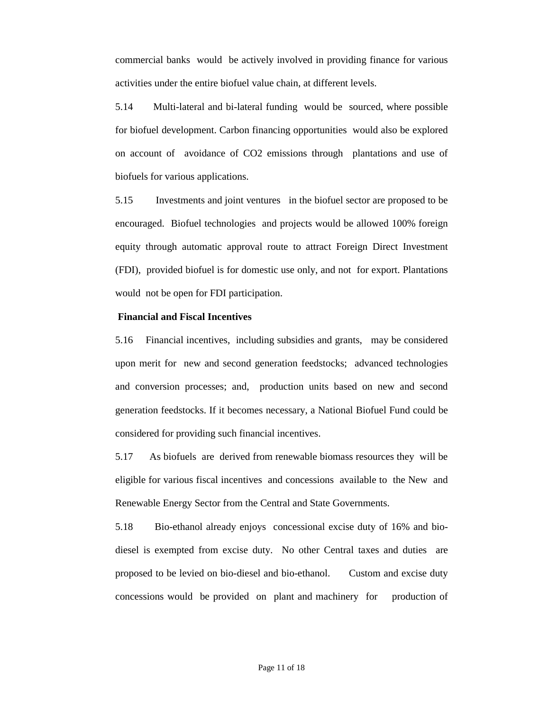commercial banks would be actively involved in providing finance for various activities under the entire biofuel value chain, at different levels.

5.14 Multi-lateral and bi-lateral funding would be sourced, where possible for biofuel development. Carbon financing opportunities would also be explored on account of avoidance of CO2 emissions through plantations and use of biofuels for various applications.

5.15 Investments and joint ventures in the biofuel sector are proposed to be encouraged. Biofuel technologies and projects would be allowed 100% foreign equity through automatic approval route to attract Foreign Direct Investment (FDI), provided biofuel is for domestic use only, and not for export. Plantations would not be open for FDI participation.

#### **Financial and Fiscal Incentives**

5.16 5.16 Financial incentives, including subsidies and grants, may be considered upon merit for new and second generation feedstocks; advanced technologies and conversion processes; and, production units based on new and second generation feedstocks. If it becomes necessary, a National Biofuel Fund could be considered for providing such financial incentives.

5.17 As biofuels are derived from renewable biomass resources they will be eligible for various fiscal incentives and concessions available to the New and Renewable Energy Sector from the Central and State Governments.

5.18 Bio-ethanol already enjoys concessional excise duty of 16% and biodiesel is exempted from excise duty. No other Central taxes and duties are proposed to be levied on bio-diesel and bio-ethanol. Custom and excise duty concessions would be provided on plant and machinery for production of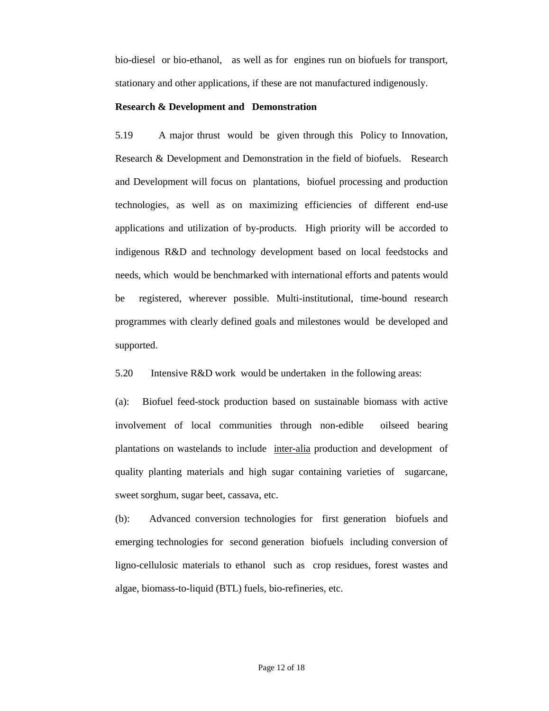bio-diesel or bio-ethanol, as well as for engines run on biofuels for transport, stationary and other applications, if these are not manufactured indigenously.

#### **Research & Development and Demonstration**

5.19 A major thrust would be given through this Policy to Innovation, Research & Development and Demonstration in the field of biofuels. Research and Development will focus on plantations, biofuel processing and production technologies, as well as on maximizing efficiencies of different end-use applications and utilization of by-products. High priority will be accorded to indigenous R&D and technology development based on local feedstocks and needs, which would be benchmarked with international efforts and patents would be registered, wherever possible. Multi-institutional, time-bound research programmes with clearly defined goals and milestones would be developed and supported.

5.20 Intensive R&D work would be undertaken in the following areas:

(a): Biofuel feed-stock production based on sustainable biomass with active involvement of local communities through non-edible oilseed bearing plantations on wastelands to include inter-alia production and development of quality planting materials and high sugar containing varieties of sugarcane, sweet sorghum, sugar beet, cassava, etc.

(b): Advanced conversion technologies for first generation biofuels and emerging technologies for second generation biofuels including conversion of ligno-cellulosic materials to ethanol such as crop residues, forest wastes and algae, biomass-to-liquid (BTL) fuels, bio-refineries, etc.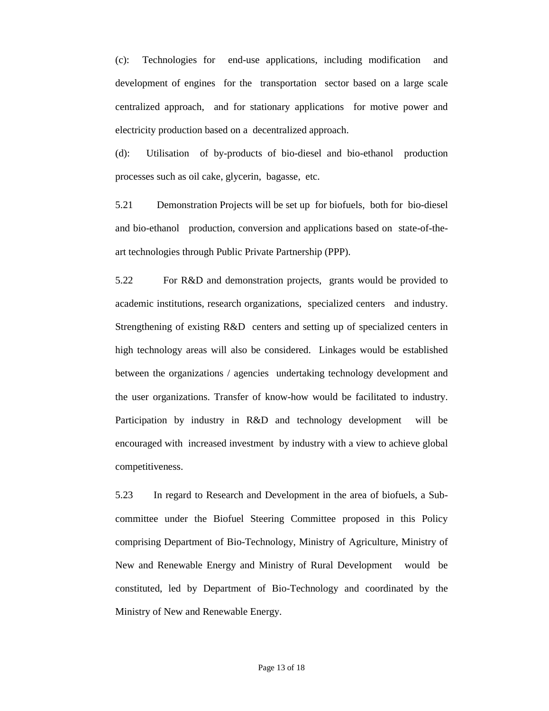(c): Technologies for end-use applications, including modification and development of engines for the transportation sector based on a large scale centralized approach, and for stationary applications for motive power and electricity production based on a decentralized approach.

(d): Utilisation of by-products of bio-diesel and bio-ethanol production processes such as oil cake, glycerin, bagasse, etc.

5.21 Demonstration Projects will be set up for biofuels, both for bio-diesel and bio-ethanol production, conversion and applications based on state-of-theart technologies through Public Private Partnership (PPP).

5.22 For R&D and demonstration projects, grants would be provided to academic institutions, research organizations, specialized centers and industry. Strengthening of existing R&D centers and setting up of specialized centers in high technology areas will also be considered. Linkages would be established between the organizations / agencies undertaking technology development and the user organizations. Transfer of know-how would be facilitated to industry. Participation by industry in R&D and technology development will be encouraged with increased investment by industry with a view to achieve global competitiveness.

5.23 In regard to Research and Development in the area of biofuels, a Subcommittee under the Biofuel Steering Committee proposed in this Policy comprising Department of Bio-Technology, Ministry of Agriculture, Ministry of New and Renewable Energy and Ministry of Rural Development would be constituted, led by Department of Bio-Technology and coordinated by the Ministry of New and Renewable Energy.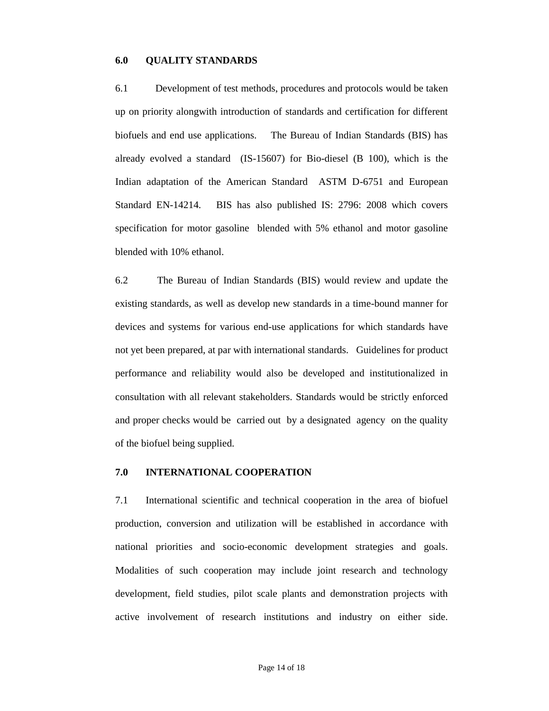#### **6.0 QUALITY STANDARDS**

6.1 Development of test methods, procedures and protocols would be taken up on priority alongwith introduction of standards and certification for different biofuels and end use applications. The Bureau of Indian Standards (BIS) has already evolved a standard (IS-15607) for Bio-diesel (B 100), which is the Indian adaptation of the American Standard ASTM D-6751 and European Standard EN-14214. BIS has also published IS: 2796: 2008 which covers specification for motor gasoline blended with 5% ethanol and motor gasoline blended with 10% ethanol.

6.2 The Bureau of Indian Standards (BIS) would review and update the existing standards, as well as develop new standards in a time-bound manner for devices and systems for various end-use applications for which standards have not yet been prepared, at par with international standards. Guidelines for product performance and reliability would also be developed and institutionalized in consultation with all relevant stakeholders. Standards would be strictly enforced and proper checks would be carried out by a designated agency on the quality of the biofuel being supplied.

# **7.0 INTERNATIONAL COOPERATION**

7.1 International scientific and technical cooperation in the area of biofuel production, conversion and utilization will be established in accordance with national priorities and socio-economic development strategies and goals. Modalities of such cooperation may include joint research and technology development, field studies, pilot scale plants and demonstration projects with active involvement of research institutions and industry on either side.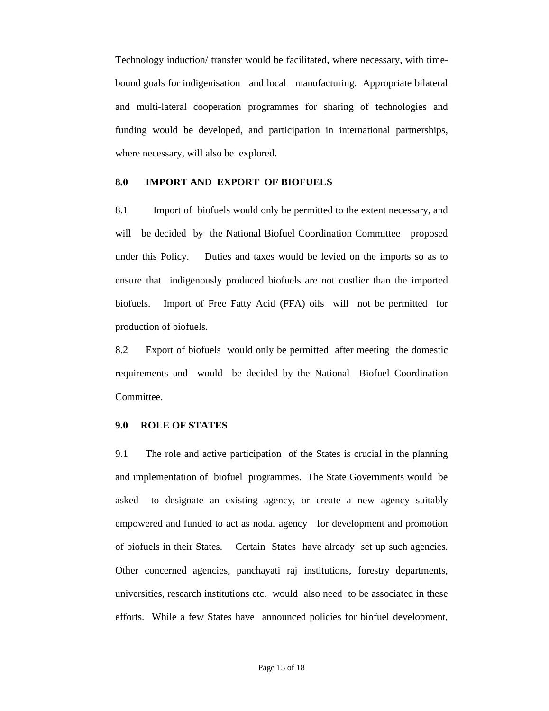Technology induction/ transfer would be facilitated, where necessary, with timebound goals for indigenisation and local manufacturing. Appropriate bilateral and multi-lateral cooperation programmes for sharing of technologies and funding would be developed, and participation in international partnerships, where necessary, will also be explored.

# **8.0 IMPORT AND EXPORT OF BIOFUELS**

8.1 Import of biofuels would only be permitted to the extent necessary, and will be decided by the National Biofuel Coordination Committee proposed under this Policy. Duties and taxes would be levied on the imports so as to ensure that indigenously produced biofuels are not costlier than the imported biofuels. Import of Free Fatty Acid (FFA) oils will not be permitted for production of biofuels.

8.2 Export of biofuels would only be permitted after meeting the domestic requirements and would be decided by the National Biofuel Coordination Committee.

# **9.0 ROLE OF STATES**

9.1 The role and active participation of the States is crucial in the planning and implementation of biofuel programmes. The State Governments would be asked to designate an existing agency, or create a new agency suitably empowered and funded to act as nodal agency for development and promotion of biofuels in their States. Certain States have already set up such agencies. Other concerned agencies, panchayati raj institutions, forestry departments, universities, research institutions etc. would also need to be associated in these efforts. While a few States have announced policies for biofuel development,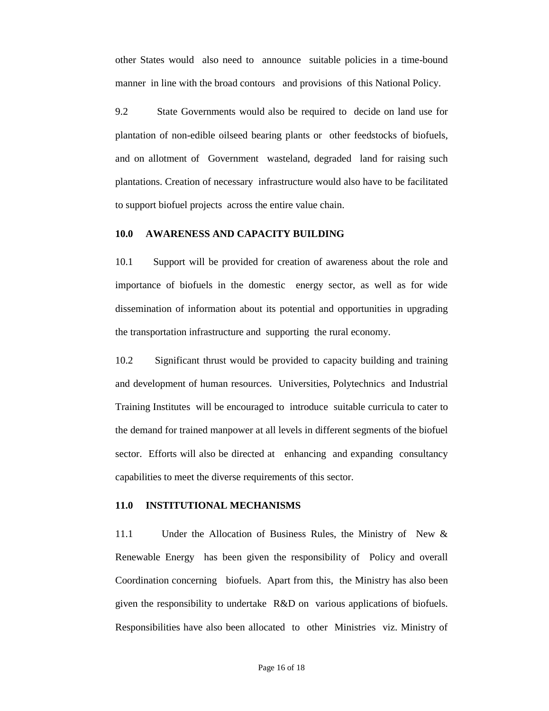other States would also need to announce suitable policies in a time-bound manner in line with the broad contours and provisions of this National Policy.

9.2 State Governments would also be required to decide on land use for plantation of non-edible oilseed bearing plants or other feedstocks of biofuels, and on allotment of Government wasteland, degraded land for raising such plantations. Creation of necessary infrastructure would also have to be facilitated to support biofuel projects across the entire value chain.

# **10.0 AWARENESS AND CAPACITY BUILDING**

10.1 Support will be provided for creation of awareness about the role and importance of biofuels in the domestic energy sector, as well as for wide dissemination of information about its potential and opportunities in upgrading the transportation infrastructure and supporting the rural economy.

10.2 Significant thrust would be provided to capacity building and training and development of human resources. Universities, Polytechnics and Industrial Training Institutes will be encouraged to introduce suitable curricula to cater to the demand for trained manpower at all levels in different segments of the biofuel sector. Efforts will also be directed at enhancing and expanding consultancy capabilities to meet the diverse requirements of this sector.

#### **11.0 INSTITUTIONAL MECHANISMS**

11.1 Under the Allocation of Business Rules, the Ministry of New & Renewable Energy has been given the responsibility of Policy and overall Coordination concerning biofuels. Apart from this, the Ministry has also been given the responsibility to undertake R&D on various applications of biofuels. Responsibilities have also been allocated to other Ministries viz. Ministry of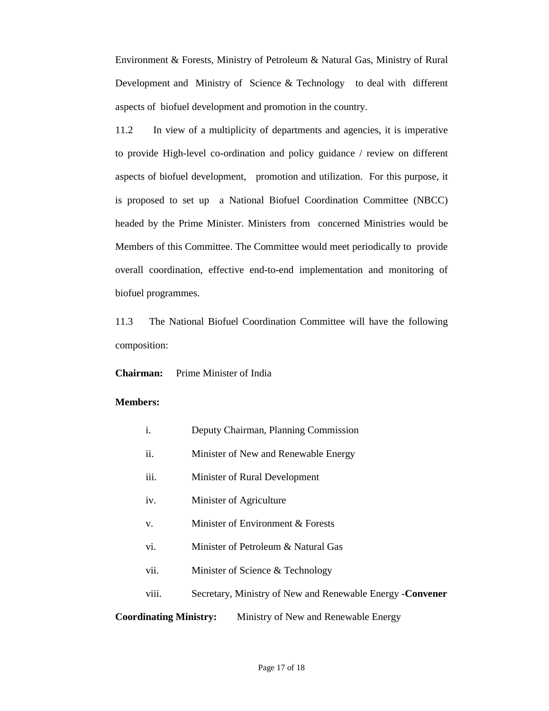Environment & Forests, Ministry of Petroleum & Natural Gas, Ministry of Rural Development and Ministry of Science & Technology to deal with different aspects of biofuel development and promotion in the country.

11.2 In view of a multiplicity of departments and agencies, it is imperative to provide High-level co-ordination and policy guidance / review on different aspects of biofuel development, promotion and utilization. For this purpose, it is proposed to set up a National Biofuel Coordination Committee (NBCC) headed by the Prime Minister. Ministers from concerned Ministries would be Members of this Committee. The Committee would meet periodically to provide overall coordination, effective end-to-end implementation and monitoring of biofuel programmes.

11.3 The National Biofuel Coordination Committee will have the following composition:

#### **Chairman:** Prime Minister of India

#### **Members:**

- i. Deputy Chairman, Planning Commission
- ii. Minister of New and Renewable Energy
- iii. Minister of Rural Development
- iv. Minister of Agriculture
- v. Minister of Environment & Forests
- vi. Minister of Petroleum & Natural Gas
- vii. Minister of Science & Technology
- viii. Secretary, Ministry of New and Renewable Energy -**Convener**

# **Coordinating Ministry:** Ministry of New and Renewable Energy